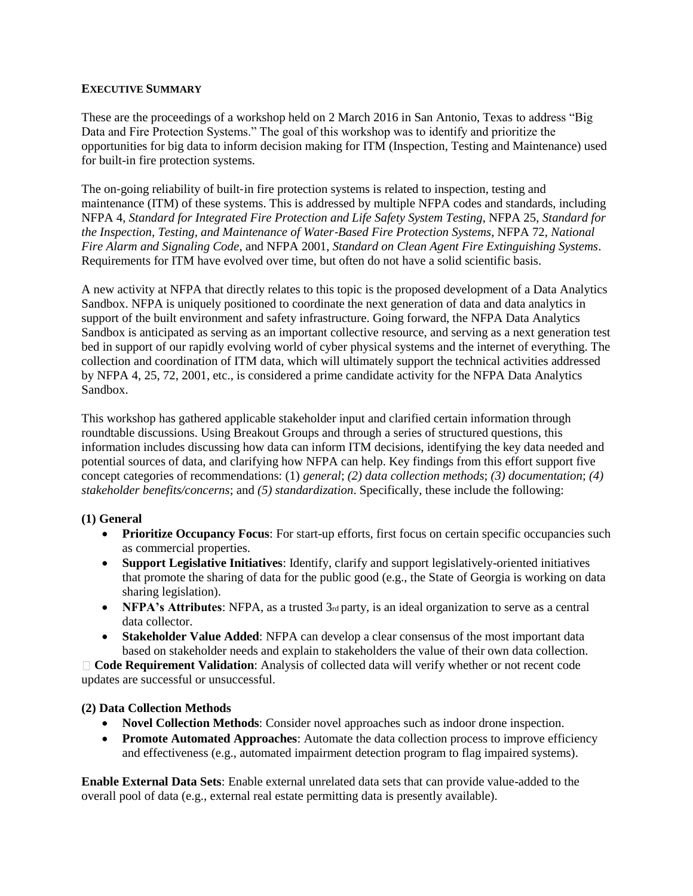## **EXECUTIVE SUMMARY**

These are the proceedings of a workshop held on 2 March 2016 in San Antonio, Texas to address "Big Data and Fire Protection Systems." The goal of this workshop was to identify and prioritize the opportunities for big data to inform decision making for ITM (Inspection, Testing and Maintenance) used for built-in fire protection systems.

The on-going reliability of built-in fire protection systems is related to inspection, testing and maintenance (ITM) of these systems. This is addressed by multiple NFPA codes and standards, including NFPA 4, *Standard for Integrated Fire Protection and Life Safety System Testing*, NFPA 25, *Standard for the Inspection, Testing, and Maintenance of Water*‐*Based Fire Protection Systems*, NFPA 72, *National Fire Alarm and Signaling Code*, and NFPA 2001, *Standard on Clean Agent Fire Extinguishing Systems*. Requirements for ITM have evolved over time, but often do not have a solid scientific basis.

A new activity at NFPA that directly relates to this topic is the proposed development of a Data Analytics Sandbox. NFPA is uniquely positioned to coordinate the next generation of data and data analytics in support of the built environment and safety infrastructure. Going forward, the NFPA Data Analytics Sandbox is anticipated as serving as an important collective resource, and serving as a next generation test bed in support of our rapidly evolving world of cyber physical systems and the internet of everything. The collection and coordination of ITM data, which will ultimately support the technical activities addressed by NFPA 4, 25, 72, 2001, etc., is considered a prime candidate activity for the NFPA Data Analytics Sandbox.

This workshop has gathered applicable stakeholder input and clarified certain information through roundtable discussions. Using Breakout Groups and through a series of structured questions, this information includes discussing how data can inform ITM decisions, identifying the key data needed and potential sources of data, and clarifying how NFPA can help. Key findings from this effort support five concept categories of recommendations: (1) *general*; *(2) data collection methods*; *(3) documentation*; *(4) stakeholder benefits/concerns*; and *(5) standardization*. Specifically, these include the following:

# **(1) General**

- **Prioritize Occupancy Focus:** For start-up efforts, first focus on certain specific occupancies such as commercial properties.
- **Support Legislative Initiatives**: Identify, clarify and support legislatively-oriented initiatives that promote the sharing of data for the public good (e.g., the State of Georgia is working on data sharing legislation).
- **• NFPA's Attributes**: NFPA, as a trusted  $3<sub>rd</sub>$  party, is an ideal organization to serve as a central data collector.
- **Stakeholder Value Added**: NFPA can develop a clear consensus of the most important data based on stakeholder needs and explain to stakeholders the value of their own data collection.

**Code Requirement Validation**: Analysis of collected data will verify whether or not recent code updates are successful or unsuccessful.

# **(2) Data Collection Methods**

- **Novel Collection Methods**: Consider novel approaches such as indoor drone inspection.
- **Promote Automated Approaches:** Automate the data collection process to improve efficiency and effectiveness (e.g., automated impairment detection program to flag impaired systems).

**Enable External Data Sets**: Enable external unrelated data sets that can provide value-added to the overall pool of data (e.g., external real estate permitting data is presently available).